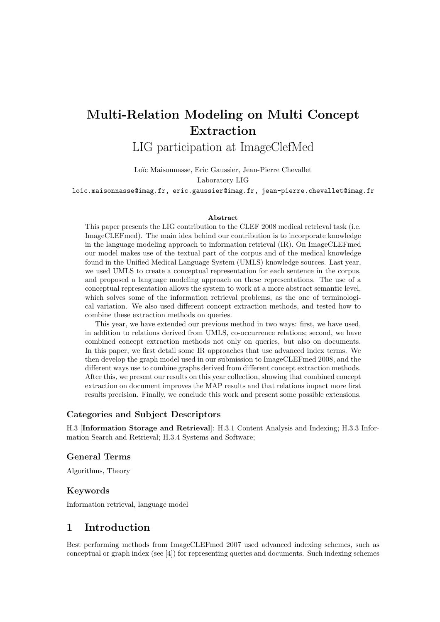# Multi-Relation Modeling on Multi Concept Extraction

LIG participation at ImageClefMed

Loïc Maisonnasse, Eric Gaussier, Jean-Pierre Chevallet Laboratory LIG

loic.maisonnasse@imag.fr, eric.gaussier@imag.fr, jean-pierre.chevallet@imag.fr

#### Abstract

This paper presents the LIG contribution to the CLEF 2008 medical retrieval task (i.e. ImageCLEFmed). The main idea behind our contribution is to incorporate knowledge in the language modeling approach to information retrieval (IR). On ImageCLEFmed our model makes use of the textual part of the corpus and of the medical knowledge found in the Unified Medical Language System (UMLS) knowledge sources. Last year, we used UMLS to create a conceptual representation for each sentence in the corpus, and proposed a language modeling approach on these representations. The use of a conceptual representation allows the system to work at a more abstract semantic level, which solves some of the information retrieval problems, as the one of terminological variation. We also used different concept extraction methods, and tested how to combine these extraction methods on queries.

This year, we have extended our previous method in two ways: first, we have used, in addition to relations derived from UMLS, co-occurrence relations; second, we have combined concept extraction methods not only on queries, but also on documents. In this paper, we first detail some IR approaches that use advanced index terms. We then develop the graph model used in our submission to ImageCLEFmed 2008, and the different ways use to combine graphs derived from different concept extraction methods. After this, we present our results on this year collection, showing that combined concept extraction on document improves the MAP results and that relations impact more first results precision. Finally, we conclude this work and present some possible extensions.

### Categories and Subject Descriptors

H.3 [Information Storage and Retrieval]: H.3.1 Content Analysis and Indexing; H.3.3 Information Search and Retrieval; H.3.4 Systems and Software;

# General Terms

Algorithms, Theory

### Keywords

Information retrieval, language model

# 1 Introduction

Best performing methods from ImageCLEFmed 2007 used advanced indexing schemes, such as conceptual or graph index (see [4]) for representing queries and documents. Such indexing schemes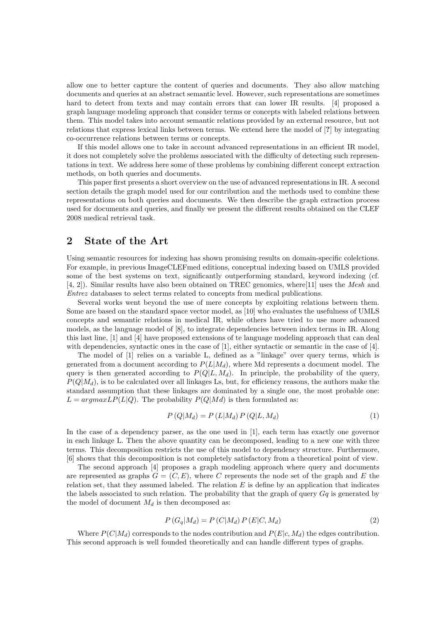allow one to better capture the content of queries and documents. They also allow matching documents and queries at an abstract semantic level. However, such representations are sometimes hard to detect from texts and may contain errors that can lower IR results. [4] proposed a graph language modeling approach that consider terms or concepts with labeled relations between them. This model takes into account semantic relations provided by an external resource, but not relations that express lexical links between terms. We extend here the model of [?] by integrating co-occurrence relations between terms or concepts.

If this model allows one to take in account advanced representations in an efficient IR model, it does not completely solve the problems associated with the difficulty of detecting such representations in text. We address here some of these problems by combining different concept extraction methods, on both queries and documents.

This paper first presents a short overview on the use of advanced representations in IR. A second section details the graph model used for our contribution and the methods used to combine these representations on both queries and documents. We then describe the graph extraction process used for documents and queries, and finally we present the different results obtained on the CLEF 2008 medical retrieval task.

# 2 State of the Art

Using semantic resources for indexing has shown promising results on domain-specific colelctions. For example, in previous ImageCLEFmed editions, conceptual indexing based on UMLS provided some of the best systems on text, significantly outperforming standard, keyword indexing (cf. [4, 2]). Similar results have also been obtained on TREC genomics, where[11] uses the Mesh and Entrez databases to select terms related to concepts from medical publications.

Several works went beyond the use of mere concepts by exploiting relations between them. Some are based on the standard space vector model, as [10] who evaluates the usefulness of UMLS concepts and semantic relations in medical IR, while others have tried to use more advanced models, as the language model of [8], to integrate dependencies between index terms in IR. Along this last line, [1] and [4] have proposed extensions of te language modeling approach that can deal with dependencies, syntactic ones in the case of [1], either syntactic or semantic in the case of [4].

The model of [1] relies on a variable L, defined as a "linkage" over query terms, which is generated from a document according to  $P(L|M_d)$ , where Md represents a document model. The query is then generated according to  $P(Q|L, M_d)$ . In principle, the probability of the query,  $P(Q|M_d)$ , is to be calculated over all linkages Ls, but, for efficiency reasons, the authors make the standard assumption that these linkages are dominated by a single one, the most probable one:  $L = argmaxLP(L|Q)$ . The probability  $P(Q|M d)$  is then formulated as:

$$
P(Q|M_d) = P(L|M_d) P(Q|L, M_d)
$$
\n
$$
(1)
$$

In the case of a dependency parser, as the one used in [1], each term has exactly one governor in each linkage L. Then the above quantity can be decomposed, leading to a new one with three terms. This decomposition restricts the use of this model to dependency structure. Furthermore, [6] shows that this decomposition is not completely satisfactory from a theoretical point of view.

The second approach [4] proposes a graph modeling approach where query and documents are represented as graphs  $G = (C, E)$ , where C represents the node set of the graph and E the relation set, that they assumed labeled. The relation  $E$  is define by an application that indicates the labels associated to such relation. The probability that the graph of query  $Gq$  is generated by the model of document  $M_d$  is then decomposed as:

$$
P(G_q|M_d) = P(C|M_d) P(E|C, M_d)
$$
\n
$$
(2)
$$

Where  $P(C|M_d)$  corresponds to the nodes contribution and  $P(E|c, M_d)$  the edges contribution. This second approach is well founded theoretically and can handle different types of graphs.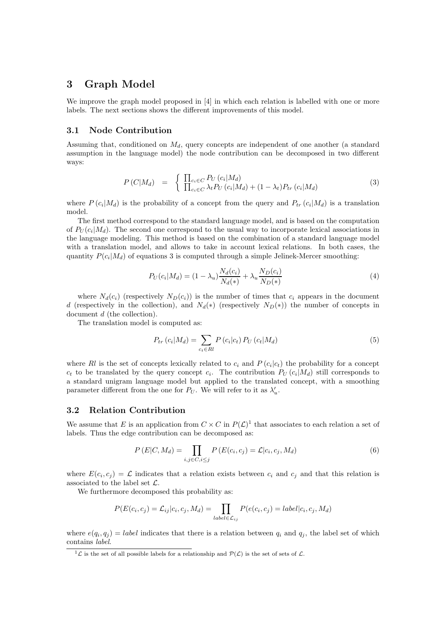# 3 Graph Model

We improve the graph model proposed in [4] in which each relation is labelled with one or more labels. The next sections shows the different improvements of this model.

### 3.1 Node Contribution

Assuming that, conditioned on  $M_d$ , query concepts are independent of one another (a standard assumption in the language model) the node contribution can be decomposed in two different ways:

$$
P(C|M_d) = \begin{cases} \prod_{c_i \in C} P_U(c_i|M_d) \\ \prod_{c_i \in C} \lambda_t P_U(c_i|M_d) + (1 - \lambda_t) P_{tr}(c_i|M_d) \end{cases}
$$
(3)

where  $P(c_i|M_d)$  is the probability of a concept from the query and  $P_{tr}(c_i|M_d)$  is a translation model.

The first method correspond to the standard language model, and is based on the computation of  $P_U(c_i|M_d)$ . The second one correspond to the usual way to incorporate lexical associations in the language modeling. This method is based on the combination of a standard language model with a translation model, and allows to take in account lexical relations. In both cases, the quantity  $P(c_i|M_d)$  of equations 3 is computed through a simple Jelinek-Mercer smoothing:

$$
P_U(c_i|M_d) = (1 - \lambda_u) \frac{N_d(c_i)}{N_d(*)} + \lambda_u \frac{N_D(c_i)}{N_D(*)}
$$
\n(4)

where  $N_d(c_i)$  (respectively  $N_D(c_i)$ ) is the number of times that  $c_i$  appears in the document d (respectively in the collection), and  $N_d(*)$  (respectively  $N_D(*)$ ) the number of concepts in document d (the collection).

The translation model is computed as:

$$
P_{tr}\left(c_i|M_d\right) = \sum_{c_t \in \mathcal{R}l} P\left(c_i|c_t\right) P_U\left(c_t|M_d\right) \tag{5}
$$

where Rl is the set of concepts lexically related to  $c_i$  and  $P(c_i|c_t)$  the probability for a concept  $c_t$  to be translated by the query concept  $c_i$ . The contribution  $P_U(c_i|M_d)$  still corresponds to a standard unigram language model but applied to the translated concept, with a smoothing parameter different from the one for  $P_U$ . We will refer to it as  $\lambda'_u$ .

#### 3.2 Relation Contribution

We assume that E is an application from  $C \times C$  in  $P(\mathcal{L})^1$  that associates to each relation a set of labels. Thus the edge contribution can be decomposed as:

$$
P(E|C, M_d) = \prod_{i,j \in C, i \le j} P(E(c_i, c_j) = \mathcal{L}|c_i, c_j, M_d)
$$
\n(6)

where  $E(c_i, c_j) = \mathcal{L}$  indicates that a relation exists between  $c_i$  and  $c_j$  and that this relation is associated to the label set  $\mathcal{L}$ .

We furthermore decomposed this probability as:

$$
P(E(c_i, c_j) = \mathcal{L}_{ij}|c_i, c_j, M_d) = \prod_{label \in \mathcal{L}_{ij}} P(e(c_i, c_j) = label|c_i, c_j, M_d)
$$

where  $e(q_i, q_j) = label$  indicates that there is a relation between  $q_i$  and  $q_j$ , the label set of which contains label.

 ${}^{1}\mathcal{L}$  is the set of all possible labels for a relationship and  $\mathcal{P}(\mathcal{L})$  is the set of sets of  $\mathcal{L}$ .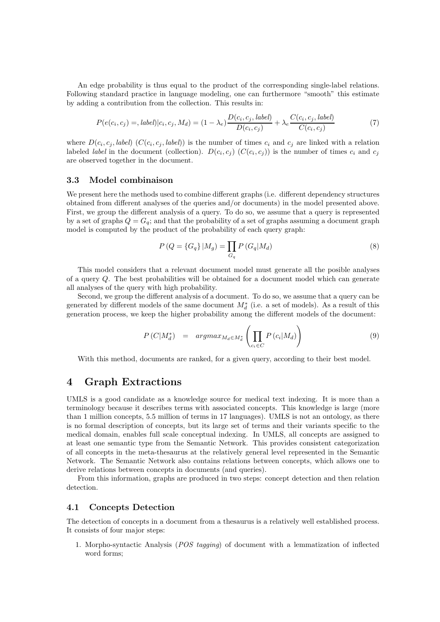An edge probability is thus equal to the product of the corresponding single-label relations. Following standard practice in language modeling, one can furthermore "smooth" this estimate by adding a contribution from the collection. This results in:

$$
P(e(c_i, c_j) =, label)|c_i, c_j, M_d) = (1 - \lambda_e) \frac{D(c_i, c_j, label)}{D(c_i, c_j)} + \lambda_e \frac{C(c_i, c_j, label)}{C(c_i, c_j)}
$$
(7)

where  $D(c_i, c_j, label)$   $(C(c_i, c_j, label))$  is the number of times  $c_i$  and  $c_j$  are linked with a relation labeled *label* in the document (collection).  $D(c_i, c_j)$  ( $C(c_i, c_j)$ ) is the number of times  $c_i$  and  $c_j$ are observed together in the document.

#### 3.3 Model combinaison

We present here the methods used to combine different graphs (i.e. different dependency structures obtained from different analyses of the queries and/or documents) in the model presented above. First, we group the different analysis of a query. To do so, we assume that a query is represented by a set of graphs  $Q = G_q$ ; and that the probability of a set of graphs assuming a document graph model is computed by the product of the probability of each query graph:

$$
P(Q = \{G_q\} | M_g) = \prod_{G_q} P(G_q | M_d)
$$
\n(8)

This model considers that a relevant document model must generate all the posible analyses of a query Q. The best probabilities will be obtained for a document model which can generate all analyses of the query with high probability.

Second, we group the different analysis of a document. To do so, we assume that a query can be generated by different models of the same document  $M_d^*$  (i.e. a set of models). As a result of this generation process, we keep the higher probability among the different models of the document:

$$
P\left(C|M_d^*\right) = argmax_{M_d \in M_d^*} \left(\prod_{c_i \in C} P\left(c_i|M_d\right)\right) \tag{9}
$$

With this method, documents are ranked, for a given query, according to their best model.

# 4 Graph Extractions

UMLS is a good candidate as a knowledge source for medical text indexing. It is more than a terminology because it describes terms with associated concepts. This knowledge is large (more than 1 million concepts, 5.5 million of terms in 17 languages). UMLS is not an ontology, as there is no formal description of concepts, but its large set of terms and their variants specific to the medical domain, enables full scale conceptual indexing. In UMLS, all concepts are assigned to at least one semantic type from the Semantic Network. This provides consistent categorization of all concepts in the meta-thesaurus at the relatively general level represented in the Semantic Network. The Semantic Network also contains relations between concepts, which allows one to derive relations between concepts in documents (and queries).

From this information, graphs are produced in two steps: concept detection and then relation detection.

## 4.1 Concepts Detection

The detection of concepts in a document from a thesaurus is a relatively well established process. It consists of four major steps:

1. Morpho-syntactic Analysis (POS tagging) of document with a lemmatization of inflected word forms;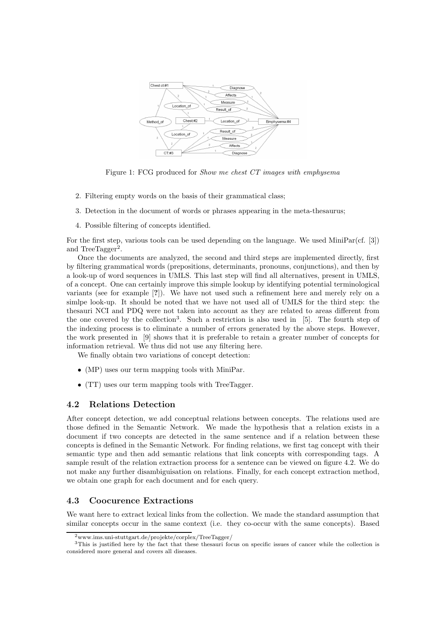

Figure 1: FCG produced for Show me chest CT images with emphysema

- 2. Filtering empty words on the basis of their grammatical class;
- 3. Detection in the document of words or phrases appearing in the meta-thesaurus;
- 4. Possible filtering of concepts identified.

For the first step, various tools can be used depending on the language. We used MiniPar(cf. [3]) and TreeTagger<sup>2</sup>.

Once the documents are analyzed, the second and third steps are implemented directly, first by filtering grammatical words (prepositions, determinants, pronouns, conjunctions), and then by a look-up of word sequences in UMLS. This last step will find all alternatives, present in UMLS, of a concept. One can certainly improve this simple lookup by identifying potential terminological variants (see for example [?]). We have not used such a refinement here and merely rely on a simlpe look-up. It should be noted that we have not used all of UMLS for the third step: the thesauri NCI and PDQ were not taken into account as they are related to areas different from the one covered by the collection<sup>3</sup>. Such a restriction is also used in [5]. The fourth step of the indexing process is to eliminate a number of errors generated by the above steps. However, the work presented in [9] shows that it is preferable to retain a greater number of concepts for information retrieval. We thus did not use any filtering here.

We finally obtain two variations of concept detection:

- (MP) uses our term mapping tools with MiniPar.
- (TT) uses our term mapping tools with TreeTagger.

### 4.2 Relations Detection

After concept detection, we add conceptual relations between concepts. The relations used are those defined in the Semantic Network. We made the hypothesis that a relation exists in a document if two concepts are detected in the same sentence and if a relation between these concepts is defined in the Semantic Network. For finding relations, we first tag concept with their semantic type and then add semantic relations that link concepts with corresponding tags. A sample result of the relation extraction process for a sentence can be viewed on figure 4.2. We do not make any further disambiguisation on relations. Finally, for each concept extraction method, we obtain one graph for each document and for each query.

# 4.3 Coocurence Extractions

We want here to extract lexical links from the collection. We made the standard assumption that similar concepts occur in the same context (i.e. they co-occur with the same concepts). Based

<sup>2</sup>www.ims.uni-stuttgart.de/projekte/corplex/TreeTagger/

<sup>3</sup>This is justified here by the fact that these thesauri focus on specific issues of cancer while the collection is considered more general and covers all diseases.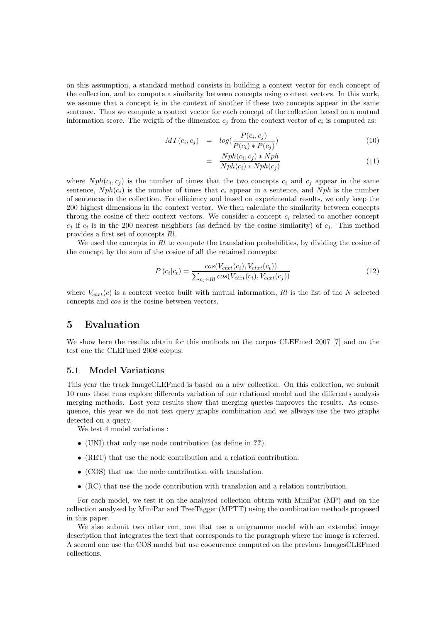on this assumption, a standard method consists in building a context vector for each concept of the collection, and to compute a similarity between concepts using context vectors. In this work, we assume that a concept is in the context of another if these two concepts appear in the same sentence. Thus we compute a context vector for each concept of the collection based on a mutual information score. The weigth of the dimension  $c_j$  from the context vector of  $c_i$  is computed as:

$$
MI(c_i, c_j) = log(\frac{P(c_i, c_j)}{P(c_i) * P(c_j)})
$$
\n
$$
(10)
$$

$$
= \frac{Nph(c_i, c_j) * Nph}{Nph(c_i) * Nph(c_j)}
$$
\n(11)

where  $Nph(c_i, c_j)$  is the number of times that the two concepts  $c_i$  and  $c_j$  appear in the same sentence,  $Nph(c_i)$  is the number of times that  $c_i$  appear in a sentence, and  $Nph$  is the number of sentences in the collection. For efficiency and based on experimental results, we only keep the 200 highest dimensions in the context vector. We then calculate the similarity between concepts throug the cosine of their context vectors. We consider a concept  $c_i$  related to another concept  $c_j$  if  $c_i$  is in the 200 nearest neighbors (as defined by the cosine similarity) of  $c_j$ . This method provides a first set of concepts Rl.

We used the concepts in Rl to compute the translation probabilities, by dividing the cosine of the concept by the sum of the cosine of all the retained concepts:

$$
P\left(c_i|c_t\right) = \frac{\cos(V_{ctxt}(c_i), V_{ctxt}(c_t))}{\sum_{c_j \in \text{R}} \cos(V_{ctxt}(c_i), V_{ctxt}(c_j))}
$$
\n
$$
(12)
$$

where  $V_{ctxt}(c)$  is a context vector built with mutual information, Rl is the list of the N selected concepts and cos is the cosine between vectors.

# 5 Evaluation

We show here the results obtain for this methods on the corpus CLEFmed 2007 [7] and on the test one the CLEFmed 2008 corpus.

### 5.1 Model Variations

This year the track ImageCLEFmed is based on a new collection. On this collection, we submit 10 runs these runs explore differents variation of our relational model and the differents analysis merging methods. Last year results show that merging queries improves the results. As consequence, this year we do not test query graphs combination and we allways use the two graphs detected on a query.

We test 4 model variations :

- (UNI) that only use node contribution (as define in ??).
- (RET) that use the node contribution and a relation contribution.
- (COS) that use the node contribution with translation.
- (RC) that use the node contribution with translation and a relation contribution.

For each model, we test it on the analysed collection obtain with MiniPar (MP) and on the collection analysed by MiniPar and TreeTagger (MPTT) using the combination methods proposed in this paper.

We also submit two other run, one that use a unigramme model with an extended image description that integrates the text that corresponds to the paragraph where the image is referred. A second one use the COS model but use coocurence computed on the previous ImagesCLEFmed collections.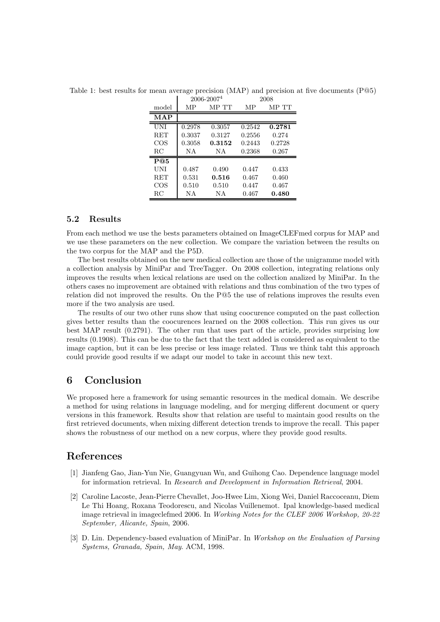| model      | MР     | MP TT  | MР     | MP TT  |
|------------|--------|--------|--------|--------|
| <b>MAP</b> |        |        |        |        |
| UNI        | 0.2978 | 0.3057 | 0.2542 | 0.2781 |
| <b>RET</b> | 0.3037 | 0.3127 | 0.2556 | 0.274  |
| COS        | 0.3058 | 0.3152 | 0.2443 | 0.2728 |
| RC         | NA     | ΝA     | 0.2368 | 0.267  |
| P@5        |        |        |        |        |
| UNI        | 0.487  | 0.490  | 0.447  | 0.433  |
| <b>RET</b> | 0.531  | 0.516  | 0.467  | 0.460  |
| COS        | 0.510  | 0.510  | 0.447  | 0.467  |
| RC         | NА     | ΝA     | 0.467  | 0.480  |

Table 1: best results for mean average precision (MAP) and precision at five documents (P@5)  $\mathbf{I}$ 2006-2007<sup>4</sup> 2008

## 5.2 Results

From each method we use the bests parameters obtained on ImageCLEFmed corpus for MAP and we use these parameters on the new collection. We compare the variation between the results on the two corpus for the MAP and the P5D.

The best results obtained on the new medical collection are those of the unigramme model with a collection analysis by MiniPar and TreeTagger. On 2008 collection, integrating relations only improves the results when lexical relations are used on the collection analized by MiniPar. In the others cases no improvement are obtained with relations and thus combination of the two types of relation did not improved the results. On the P@5 the use of relations improves the results even more if the two analysis are used.

The results of our two other runs show that using coocurence computed on the past collection gives better results than the coocurences learned on the 2008 collection. This run gives us our best MAP result (0.2791). The other run that uses part of the article, provides surprising low results (0.1908). This can be due to the fact that the text added is considered as equivalent to the image caption, but it can be less precise or less image related. Thus we think taht this approach could provide good results if we adapt our model to take in account this new text.

# 6 Conclusion

We proposed here a framework for using semantic resources in the medical domain. We describe a method for using relations in language modeling, and for merging different document or query versions in this framework. Results show that relation are useful to maintain good results on the first retrieved documents, when mixing different detection trends to improve the recall. This paper shows the robustness of our method on a new corpus, where they provide good results.

# References

- [1] Jianfeng Gao, Jian-Yun Nie, Guangyuan Wu, and Guihong Cao. Dependence language model for information retrieval. In Research and Development in Information Retrieval, 2004.
- [2] Caroline Lacoste, Jean-Pierre Chevallet, Joo-Hwee Lim, Xiong Wei, Daniel Raccoceanu, Diem Le Thi Hoang, Roxana Teodorescu, and Nicolas Vuillenemot. Ipal knowledge-based medical image retrieval in imageclefmed 2006. In Working Notes for the CLEF 2006 Workshop, 20-22 September, Alicante, Spain, 2006.
- [3] D. Lin. Dependency-based evaluation of MiniPar. In Workshop on the Evaluation of Parsing Systems, Granada, Spain, May. ACM, 1998.